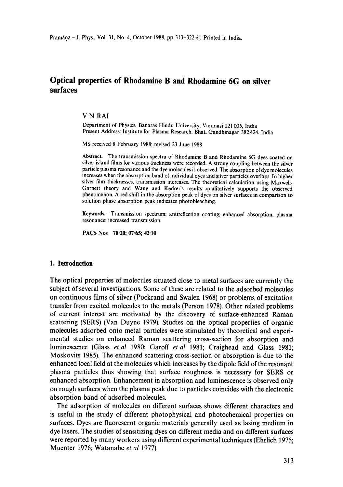# **Optical properties of Rhodamine B and Rhodamine 6G on silver surfaces**

#### **V N** RAI

Department of Physics, Banaras Hindu University, Varanasi 221 005, India Present Address: Institute for Plasma Research, Bhat, Gandhinagar 382 424, India

MS received 8 February 1988; revised 23 June 1988

**Abstract.** The transmission spectra of Rhodamine B and Rhodamine 6G dyes coated on silver island films for various thickness were recorded. A strong coupling between the silver particle plasma resonance and the dye molecules is observed. The absorption of dye molecules increases when the absorption band of individual dyes and silver particles overlaps. In higher silver film thicknesses, transmission increases. The theoretical calculation using Maxwell-Garnett theory and Wang and Kerker's results qualitatively supports the observed phenomenon. A red shift in the absorption peak of dyes on silver surfaces in comparison to solution phase absorption peak indicates photobleaching.

**Keywords.** Transmission spectrum; antireflection coating; enhanced absorption; **plasma**  resonance; increased transmission.

PACS Nos 78.20; 07-65; 42.10

#### **1. Introduction**

The optical properties of molecules situated close to metal surfaces are currently the subject of several investigations. Some of these are related to the adsorbed molecules on continuous films of silver (Pockrand and Swalen 1968) or problems of excitation transfer from excited molecules to the metals (Person 1978). Other related problems of current interest are motivated by the discovery of surface-enhanced Raman scattering (SERS) (Van Duyne 1979). Studies on the optical properties of organic molecules adsorbed onto metal particles were stimulated by theoretical and experimental studies on enhanced Raman scattering cross-section for absorption and luminescence (Glass *et al* 1980; Garoff *et al* 1981; Craighead and Glass 1981; Moskovits 1985). The enhanced scattering cross-section or absorption is due to the enhanced local field at the molecules which increases by the dipole field of the resonant plasma particles thus showing that surface roughness is necessary for SERS or enhanced absorption. Enhancement in absorption and luminescence is observed only on rough surfaces when the plasma peak due to particles coincides with the electronic absorption band of adsorbed molecules.

The adsorption of molecules on different surfaces shows different characters and is useful in the study of different photophysical and photochemical properties on surfaces. Dyes are fluorescent organic materials generally used as lasing medium in dye lasers. The studies of sensitizing dyes on different media and on different surfaces were reported by many workers using different experimental techniques (Ehrlich 1975; Muenter 1976; Watanabe *et al* 1977).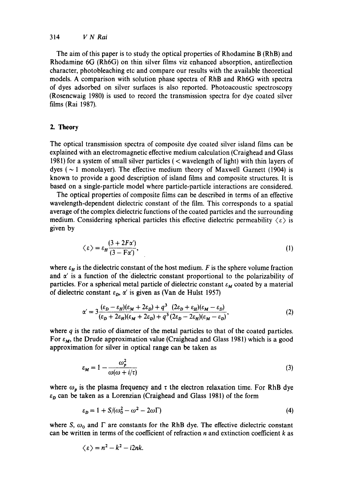314 *V N Rai* 

The aim of this paper is to study the optical properties of Rhodamine B (RhB) and Rhodamine 6G (Rh6G) on thin silver films viz enhanced absorption, antireflection character, photobleaching etc and compare our results with the available theoretical models. A comparison with solution phase spectra of RhB and Rh6G with spectra of dyes adsorbed on silver surfaces is also reported. Photoacoustic spectroscopy (Rosencwaig 1980) is used to record the transmission spectra for dye coated silver films (Rai 1987).

# **2. Theory**

The optical transmission spectra of composite dye coated silver island films can be explained with an electromagnetic effective medium calculation (Craighead and Glass 1981) for a system of small silver particles ( < wavelength of light) with thin layers of dyes ( $\sim$  1 monolayer). The effective medium theory of Maxwell Garnett (1904) is known to provide a good description of island films and composite structures. It is based on a single-particle model where particle-particle interactions are considered.

The optical properties of composite films can be described in terms of an effective wavelength-dependent dielectric constant of the film. This corresponds to a spatial average of the complex dielectric functions of the coated particles and the surrounding medium. Considering spherical particles this effective dielectric permeability  $\langle \varepsilon \rangle$  is given by

$$
\langle \varepsilon \rangle = \varepsilon_H \frac{(3 + 2F\alpha')}{(3 - F\alpha')},\tag{1}
$$

where  $\varepsilon_H$  is the dielectric constant of the host medium. F is the sphere volume fraction and  $\alpha'$  is a function of the dielectric constant proportional to the polarizability of particles. For a spherical metal particle of dielectric constant  $\varepsilon_M$  coated by a material of dielectric constant  $\varepsilon_D$ ,  $\alpha'$  is given as (Van de Hulst 1957)

$$
\alpha' = 3 \frac{(\varepsilon_D - \varepsilon_H)(\varepsilon_M + 2\varepsilon_D) + q^3}{(\varepsilon_D + 2\varepsilon_H)(\varepsilon_M + 2\varepsilon_D) + q^3} \frac{(2\varepsilon_D + \varepsilon_H)(\varepsilon_M - \varepsilon_D)}{(2\varepsilon_D - 2\varepsilon_H)(\varepsilon_M - \varepsilon_D)},
$$
(2)

where  $q$  is the ratio of diameter of the metal particles to that of the coated particles. For  $\varepsilon_M$ , the Drude approximation value (Craighead and Glass 1981) which is a good approximation for silver in optical range can be taken as

$$
\varepsilon_M = 1 - \frac{\omega_p^2}{\omega(\omega + i/\tau)}
$$
 (3)

where  $\omega_p$  is the plasma frequency and  $\tau$  the electron relaxation time. For RhB dye  $\varepsilon_D$  can be taken as a Lorenzian (Craighead and Glass 1981) of the form

$$
\varepsilon_D = 1 + S/(\omega_0^2 - \omega^2 - 2\omega\Gamma) \tag{4}
$$

where S,  $\omega_0$  and  $\Gamma$  are constants for the RhB dye. The effective dielectric constant can be written in terms of the coefficient of refraction  $n$  and extinction coefficient  $k$  as

$$
\langle \varepsilon \rangle = n^2 - k^2 - i2nk.
$$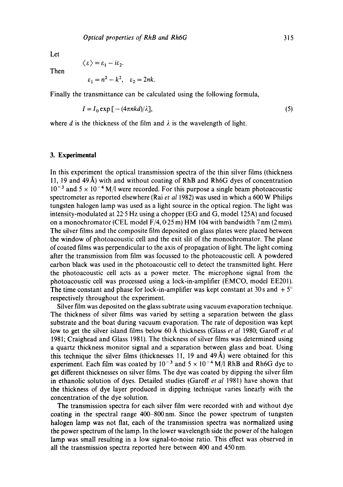Then  $\langle \varepsilon \rangle = \varepsilon_1 - i \varepsilon_2$ .

 $\varepsilon_1 = n^2 - k^2$ ,  $\varepsilon_2 = 2nk$ .

Finally the transmittance can be calculated using the following formula,

$$
I = I_0 \exp\left[-\left(4\pi n k d\right)/\lambda\right],\tag{5}
$$

where d is the thickness of the film and  $\lambda$  is the wavelength of light.

# **3. Experimental**

In this experiment the optical transmission spectra of the thin silver films (thickness 11, 19 and 49 Å) with and without coating of RhB and Rh6G dyes of concentration  $10^{-3}$  and  $5 \times 10^{-4}$  M/l were recorded. For this purpose a single beam photoacoustic spectrometer as reported elsewhere (Rai *et al* 1982) was used in which a 600 W Philips tungsten halogen lamp was used as a light source in the optical region. The light was intensity-modulated at 22'5 Hz using a chopper (EG and G, model 125A) and focused on a monochromator (CEL model F/4, 0.25 m) HM I04 with bandwidth 7 nm (2 mm). The silver films and the composite film deposited on glass plates were placed between the window of photoacoustic cell and the exit slit of the monochromator. The plane of coated films was perpendicular to the axis of propagation of light. The light coming after the transmission from film was focussed to the photoacoustic cell. A powdered carbon black was used in the photoacoustic cell to detect the transmitted light. Here the photoacoustic cell acts as a power meter. The microphone signal from the photoacoustic cell was processed using a lock-in-amplifier (EMCO, model EE201). The time constant and phase for lock-in-amplifier was kept constant at 30 s and  $+5^{\circ}$ respectively throughout the experiment.

Silver film was deposited on the glass subtrate using vacuum evaporation technique. The thickness of silver films was varied by setting a separation between the glass substrate and the boat during vacuum evaporation. The rate of deposition was kept low to get the silver island films below 60 Å thickness (Glass *et al* 1980; Garoff *et al* 1981; Craighead and Glass 1981). The thickness of silver films was determined using a quartz thickness monitor signal and a separation between glass and boat. Using this technique the silver films (thicknesses 11, 19 and  $49\text{\AA}$ ) were obtained for this experiment. Each film was coated by  $10^{-3}$  and  $5 \times 10^{-4}$  M/l RhB and Rh6G dye to get different thicknesses on silver films. The dye was coated by dipping the silver film in ethanolic solution of dyes. Detailed studies (Garoff *et al* 1981) have shown that the thickness of dye layer produced in dipping technique varies linearly with the concentration of the dye solution.

The transmission spectra for each silver film were recorded with and without dye coating in the spectral range 400-800nm. Since the power spectrum of tungsten halogen lamp was not flat, each of the transmission spectra was normalized using the power spectrum of the lamp. In the lower wavelength side the power of the halogen lamp was small resulting in a low signal-to-noise ratio. This effect was observed in all the transmission spectra reported here between 400 and 450 nm.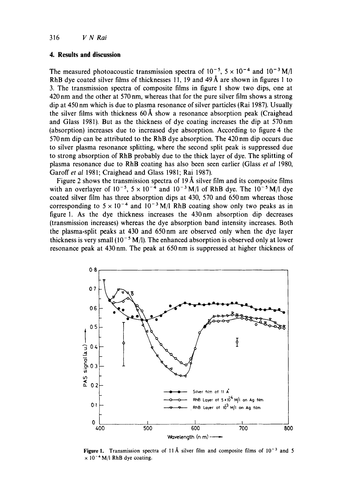#### **4. Results and discussion**

The measured photoacoustic transmission spectra of  $10^{-5}$ ,  $5 \times 10^{-4}$  and  $10^{-3}$  M/l RhB dye coated silver films of thicknesses 11, 19 and 49 Å are shown in figures 1 to 3. The transmission spectra of composite films in figure 1 show two dips, one at 420 nm and the other at 570 nm, whereas that for the pure silver film shows a strong dip at 450 nm which is due to plasma resonance of silver particles (Rai 1987). Usually the silver films with thickness  $60 \text{\AA}$  show a resonance absorption peak (Craighead) and Glass 1981). But as the thickness of dye coating increases the dip at 570nm (absorption) increases due to increased dye absorption. According to figure 4 the 570 nm dip can be attributed to the RhB dye absorption. The 420 nm dip occurs due to silver plasma resonance splitting, where the second split peak is suppressed due to strong absorption of RhB probably due to the thick layer of dye. The splitting of plasma resonance due to RhB coating has also been seen earlier (Glass *et al* 1980, Garoff *et al* 1981; Craighead and Glass 1981; Rai 1987).

Figure 2 shows the transmission spectra of 19 Å silver film and its composite films with an overlayer of  $10^{-5}$ ,  $5 \times 10^{-4}$  and  $10^{-3}$  M/l of RhB dye. The  $10^{-5}$  M/l dye coated silver film has three absorption dips at 430, 570 and 650 nm whereas those corresponding to  $5 \times 10^{-4}$  and  $10^{-3}$  M/l RhB coating show only two peaks as in figure 1. As the dye thickness increases the 430nm absorption dip decreases (transmission increases) whereas the dye absorption band intensity increases. Both the plasma-split peaks at 430 and 650nm are observed only when the dye layer thickness is very small  $(10^{-5} M/l)$ . The enhanced absorption is observed only at lower resonance peak at 430 nm. The peak at 650 nm is suppressed at higher thickness of



Figure 1. Transmission spectra of 11 Å silver film and composite films of  $10^{-3}$  and 5  $\times$  10<sup>-4</sup> M/l RhB dye coating.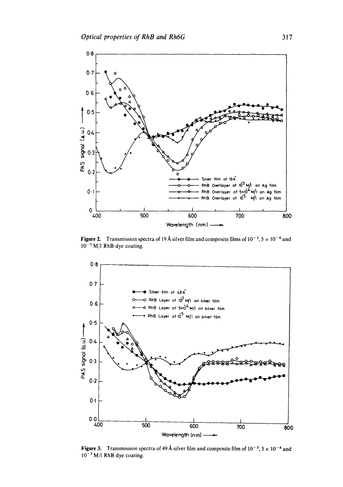

Figure 2. Transmission spectra of 19 Å silver film and composite films of  $10^{-3}$ ,  $5 \times 10^{-4}$  and  $10^{-5}$  M/l RhB dye coating.



**Figure 3.** Transmission spectra of 49 A silver film and composite film of  $10^{-3}$ ,  $5 \times 10^{-4}$  and  $10^{-5}$  M/l RhB dye coating.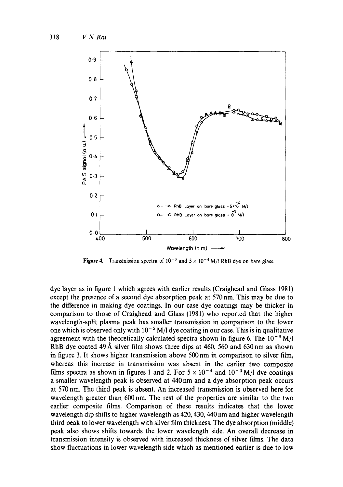

Figure 4. Transmission spectra of  $10^{-3}$  and  $5 \times 10^{-4}$  M/l RhB dye on bare glass.

dye layer as in figure 1 which agrees with earlier results (Craighead and Glass 1981) except the presence of a second dye absorption peak at 570 nm. This may be due to the difference in making dye coatings. In our case dye coatings may be thicker in comparison to those of Craighead and Glass (1981) who reported that the higher wavelength-split plasma peak has smaller transmission in comparison to the lower one which is observed only with  $10^{-5}$  M/l dye coating in our case. This is in qualitative agreement with the theoretically calculated spectra shown in figure 6. The  $10^{-5}$  M/l RhB dye coated 49 Å silver film shows three dips at 460, 560 and 630 nm as shown in figure 3. It shows higher transmission above 500 nm in comparison to silver film, whereas this increase in transmission was absent in the earlier two composite films spectra as shown in figures 1 and 2. For  $5 \times 10^{-4}$  and  $10^{-3}$  M/l dye coatings a smaller wavelength peak is observed at 440 nm and a dye absorption peak occurs at 570 nm. The third peak is absent. An increased transmission is observed here for wavelength greater than 600nm. The rest of the properties are similar to the two earlier composite films. Comparison of these results indicates that the lower wavelength dip shifts to higher wavelength as 420, 430, 440 nm and higher wavelength third peak to lower wavelength with silver film thickness. The dye absorption (middle) peak also shows shifts towards the lower wavelength side. An overall decrease in transmission intensity is observed with increased thickness of silver films. The data show fluctuations in lower wavelength side which as mentioned earlier is due to low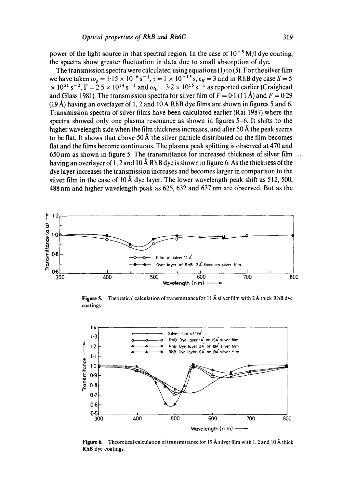The transmission spectra were calculated using equations (1) to (5). For the silver film we have taken  $\omega_p = 1.15 \times 10^{16} \text{ s}^{-1}$ ,  $\tau = 1 \times 10^{-15} \text{ s}$ ,  $\varepsilon_H = 3$  and in RhB dye case  $S = 5$  $\times$  10<sup>31</sup> s<sup>-2</sup>,  $\Gamma$  = 2.5  $\times$  10<sup>14</sup> s<sup>-1</sup> and  $\omega_0$  = 3.2  $\times$  10<sup>15</sup> s<sup>-1</sup> as reported earlier (Craighead and Glass 1981). The transmission spectra for silver film of  $F = 0.1$  (11 Å) and  $F = 0.29$ (19 A) having an overlayer of 1, 2 and 10 A RhB dye films are shown in figures 5 and 6. Transmission spectra of silver films have been calculated earlier (Rai 1987) where the spectra showed only one plasma resonance as shown in figures 5-6. It shifts to the higher wavelength side when the film thickness increases, and after 50  $\AA$  the peak seems to be flat. It shows that above 50 Å the silver particle distributed on the film becomes flat and the films become continuous. The plasma peak splitting is observed at 470 and 650 nm as shown in figure 5. The transmittance for increased thickness of silver film having an overlayer of 1, 2 and 10 Å RhB dye is shown in figure 6. As the thickness of the dye layer increases the transmission increases and becomes larger in comparison to the silver film in the case of 10 Å dye layer. The lower wavelength peak shift as 512, 500, 488 nm and higher wavelength peak as 625, 632 and 637 nm are observed. But as the



**Figure 5.** Theoretical calculation of transmittance for 11 Å silver film with 2 Å thick RhB dye coatings.



**Figure 6.** Theoretical calculation of transmittance for 19 Å silver film with 1, 2 and 10 Å thick RhB dye coatings.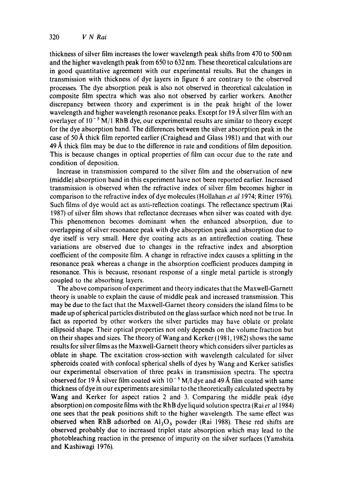thickness of silver film increases the lower wavelength peak shifts from 470 to 500 nm and the higher wavelength peak from 650 to 632 nm. These theoretical calculations are in good quantitative agreement with our experimental results. But the changes in transmission with thickness of dye layers in figure 6 are contrary to the observed processes. The dye absorption peak is also not observed in theoretical calculation in composite film spectra which was also not observed by earlier workers. Another discrepancy between theory and experiment is in the peak height of the lower wavelength and higher wavelength resonance peaks. Except for 19  $\AA$  silver film with an overlayer of  $10^{-5}$  M/1 RhB dye, our experimental results are similar to theory except for the dye absorption band. The differences between the silver absorption peak in the case of 50  $\AA$  thick film reported earlier (Craighead and Glass 1981) and that with our  $49\text{ Å}$  thick film may be due to the difference in rate and conditions of film deposition. This is because changes in optical properties of film can occur due to the rate and condition of deposition.

Increase in transmission compared to the silver film and the observation of new (middle) absorption band in this experiment have not been reported earlier. Increased transmission is observed when the refractive index of silver film becomes higher in comparison to the refractive index of dye molecules (Hollahan *et a11974;* Ritter 1976). Such films of dye would act as anti-reflection coatings. The reflectance spectrum (Rai 1987) of silver film shows that reflectance decreases when silver was coated with dye. This phenomenon becomes dominant when the enhanced absorption, due to overlapping of silver resonance peak with dye absorption peak and absorption due to dye itself is very small. Here dye coating acts as an antireflection coating. These variations are observed due to changes in the refractive index and absorption coefficient of the composite film. A change in refractive index causes a splitting in the resonance peak whereas a change in the absorption coefficient produces damping in resonance. This is because, resonant response of a single metal particle is strongly coupled to the absorbing layers.

The above comparison of experiment and theory indicates that the Maxwell-Garnett theory is unable to explain the cause of middle peak and increased transmission. This may be due to the fact that the Maxwell-Garnet theory considers the island films to be made up of spherical particles distributed on the glass surface which need not be true. In fact as reported by other workers the silver particles may have oblate or prolate ellipsoid shape. Their optical properties not only depends on the volume fraction but on their shapes and sizes. The theory of Wang and Kerker (1981, 1982) shows the same results for silver films as the Maxwell-Garnett theory which considers silver particles as oblate in shape. The excitation cross-section with wavelength calculated for silver spheroids coated with confocal spherical shells of dyes by Wang and Kerker satisfies our experimental observation of three peaks in transmission spectra. The spectra observed for 19 Å silver film coated with  $10^{-5}$  M/I dye and 49 Å film coated with same thickness of dye in our experiments are similar to the theoretically calculated spectra by Wang and Kerker for aspect ratios 2 and 3. Comparing the middle peak (dye absorption) on composite films with the RhB dye liquid solution spectra (Rai *et al* 1984) one sees that the peak positions shift to the higher wavelength. The same effect was observed when RhB adsorbed on  $Al_2O_3$  powder (Rai 1988). These red shifts are observed probably due to increased triplet state absorption which may lead to the photobleaching reaction in the presence of impurity on the silver surfaces (Yamshita and Kashiwagi 1976).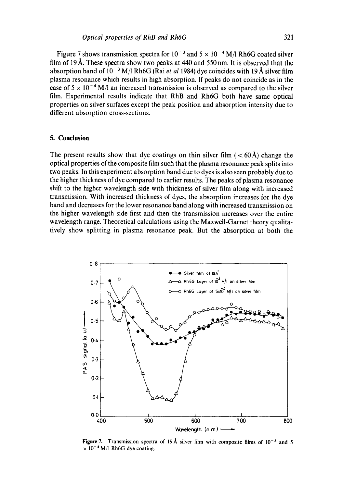Figure 7 shows transmission spectra for  $10^{-3}$  and  $5 \times 10^{-4}$  M/l Rh6G coated silver film of 19 Å. These spectra show two peaks at 440 and 550 nm. It is observed that the absorption band of  $10^{-3}$  M/l Rh6G (Rai *et al* 1984) dye coincides with 19 Å silver film plasma resonance which results in high absorption. If peaks do not coincide as in the case of  $5 \times 10^{-4}$  M/l an increased transmission is observed as compared to the silver film. Experimental results indicate that RhB and Rh6G both have same optical properties on silver surfaces except the peak position and absorption intensity due to different absorption cross-sections.

#### **5. Conclusion**

The present results show that dye coatings on thin silver film  $(< 60 \text{ Å})$  change the optical properties of the composite film such that the plasma resonance peak splits into two peaks. In this experiment absorption band due to dyes is also seen probably due to the higher thickness of dye compared to earlier results. The peaks of plasma resonance shift to the higher wavelength side with thickness of silver film along with increased transmission. With increased thickness of dyes, the absorption increases for the dye band and decreases for the lower resonance band along with increased transmission on the higher wavelength side first and then the transmission increases over the entire wavelength range. Theoretical calculations using the Maxwell-Garnet theory qualitatively show splitting in plasma resonance peak. But the absorption at both the



**Figure 7.** Transmission spectra of 19 Å silver film with composite films of  $10^{-3}$  and 5  $\times$  10<sup>-4</sup> M/1 Rh6G dye coating.